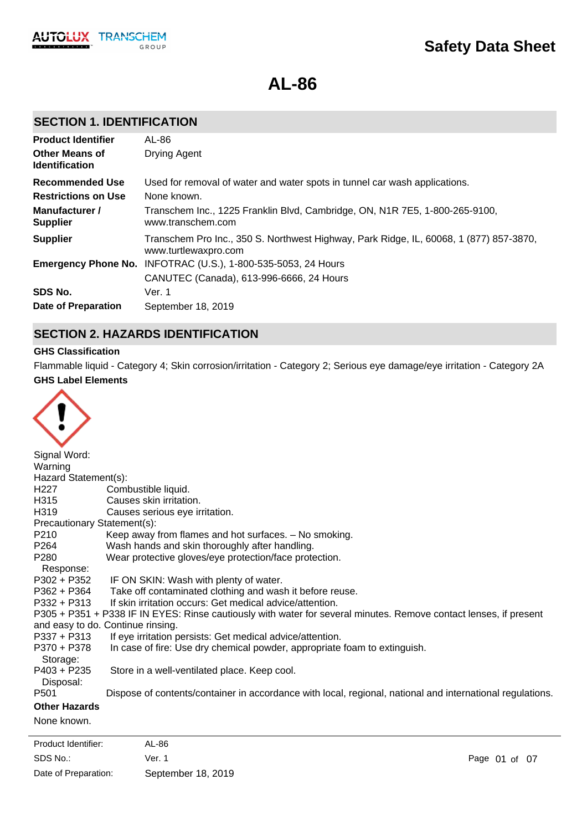**AL-86**

# **SECTION 1. IDENTIFICATION**

| <b>Product Identifier</b>                      | AL-86                                                                                                          |
|------------------------------------------------|----------------------------------------------------------------------------------------------------------------|
| <b>Other Means of</b><br><b>Identification</b> | <b>Drying Agent</b>                                                                                            |
| <b>Recommended Use</b>                         | Used for removal of water and water spots in tunnel car wash applications.                                     |
| <b>Restrictions on Use</b>                     | None known.                                                                                                    |
| Manufacturer /<br><b>Supplier</b>              | Transchem Inc., 1225 Franklin Blvd, Cambridge, ON, N1R 7E5, 1-800-265-9100,<br>www.transchem.com               |
| <b>Supplier</b>                                | Transchem Pro Inc., 350 S. Northwest Highway, Park Ridge, IL, 60068, 1 (877) 857-3870,<br>www.turtlewaxpro.com |
|                                                | <b>Emergency Phone No. INFOTRAC (U.S.), 1-800-535-5053, 24 Hours</b>                                           |
|                                                | CANUTEC (Canada), 613-996-6666, 24 Hours                                                                       |
| SDS No.                                        | Ver. 1                                                                                                         |
| <b>Date of Preparation</b>                     | September 18, 2019                                                                                             |

# **SECTION 2. HAZARDS IDENTIFICATION**

# **GHS Classification**

**GHS Label Elements** Flammable liquid - Category 4; Skin corrosion/irritation - Category 2; Serious eye damage/eye irritation - Category 2A



| Signal Word:                |                                                                                                                   |
|-----------------------------|-------------------------------------------------------------------------------------------------------------------|
| Warning                     |                                                                                                                   |
| Hazard Statement(s):        |                                                                                                                   |
| H <sub>227</sub>            | Combustible liquid.                                                                                               |
| H315                        | Causes skin irritation.                                                                                           |
| H319                        | Causes serious eye irritation.                                                                                    |
| Precautionary Statement(s): |                                                                                                                   |
| P210                        | Keep away from flames and hot surfaces. - No smoking.                                                             |
| P264                        | Wash hands and skin thoroughly after handling.                                                                    |
| P280                        | Wear protective gloves/eye protection/face protection.                                                            |
| Response:                   |                                                                                                                   |
| P302 + P352                 | IF ON SKIN: Wash with plenty of water.                                                                            |
| P362 + P364                 | Take off contaminated clothing and wash it before reuse.                                                          |
| $P332 + P313$               | If skin irritation occurs: Get medical advice/attention.                                                          |
|                             | P305 + P351 + P338 IF IN EYES: Rinse cautiously with water for several minutes. Remove contact lenses, if present |
|                             | and easy to do. Continue rinsing.                                                                                 |
| $P337 + P313$               | If eye irritation persists: Get medical advice/attention.                                                         |
| P370 + P378                 | In case of fire: Use dry chemical powder, appropriate foam to extinguish.                                         |
| Storage:                    |                                                                                                                   |
| $P403 + P235$               | Store in a well-ventilated place. Keep cool.                                                                      |
| Disposal:                   |                                                                                                                   |
| P <sub>501</sub>            | Dispose of contents/container in accordance with local, regional, national and international regulations.         |
| <b>Other Hazards</b>        |                                                                                                                   |
| None known.                 |                                                                                                                   |
|                             |                                                                                                                   |

SDS No.: Date of Preparation: Ver. 1 Page 01 of 07 September 18, 2019 Product Identifier: AL-86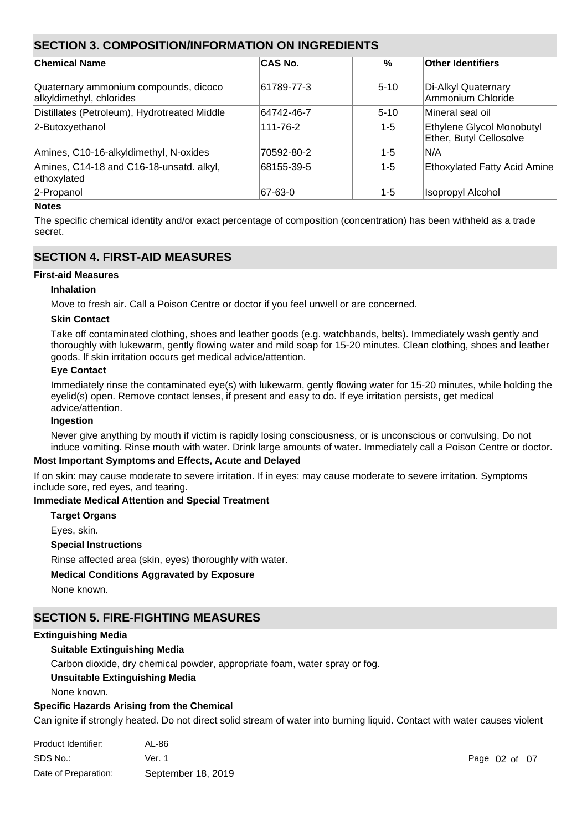# **SECTION 3. COMPOSITION/INFORMATION ON INGREDIENTS**

| <b>Chemical Name</b>                                              | CAS No.    | $\%$     | Other Identifiers                                    |
|-------------------------------------------------------------------|------------|----------|------------------------------------------------------|
| Quaternary ammonium compounds, dicoco<br>alkyldimethyl, chlorides | 61789-77-3 | $5 - 10$ | Di-Alkyl Quaternary<br>Ammonium Chloride             |
| Distillates (Petroleum), Hydrotreated Middle                      | 64742-46-7 | $5 - 10$ | Mineral seal oil                                     |
| 2-Butoxyethanol                                                   | 111-76-2   | 1-5      | Ethylene Glycol Monobutyl<br>Ether, Butyl Cellosolve |
| Amines, C10-16-alkyldimethyl, N-oxides                            | 70592-80-2 | 1-5      | IN/A                                                 |
| Amines, C14-18 and C16-18-unsatd. alkyl,<br>ethoxylated           | 68155-39-5 | 1-5      | <b>Ethoxylated Fatty Acid Amine</b>                  |
| 2-Propanol                                                        | 67-63-0    | 1-5      | <b>Isopropyl Alcohol</b>                             |

# **Notes**

The specific chemical identity and/or exact percentage of composition (concentration) has been withheld as a trade secret.

# **SECTION 4. FIRST-AID MEASURES**

# **First-aid Measures**

# **Inhalation**

Move to fresh air. Call a Poison Centre or doctor if you feel unwell or are concerned.

#### **Skin Contact**

Take off contaminated clothing, shoes and leather goods (e.g. watchbands, belts). Immediately wash gently and thoroughly with lukewarm, gently flowing water and mild soap for 15-20 minutes. Clean clothing, shoes and leather goods. If skin irritation occurs get medical advice/attention.

# **Eye Contact**

Immediately rinse the contaminated eye(s) with lukewarm, gently flowing water for 15-20 minutes, while holding the evelid(s) open. Remove contact lenses, if present and easy to do. If eve irritation persists, get medical advice/attention.

#### **Ingestion**

Never give anything by mouth if victim is rapidly losing consciousness, or is unconscious or convulsing. Do not induce vomiting. Rinse mouth with water. Drink large amounts of water. Immediately call a Poison Centre or doctor.

# **Most Important Symptoms and Effects, Acute and Delayed**

If on skin: may cause moderate to severe irritation. If in eyes: may cause moderate to severe irritation. Symptoms include sore, red eyes, and tearing.

# **Immediate Medical Attention and Special Treatment**

**Target Organs**

Eyes, skin.

#### **Special Instructions**

Rinse affected area (skin, eyes) thoroughly with water.

# **Medical Conditions Aggravated by Exposure**

None known.

# **SECTION 5. FIRE-FIGHTING MEASURES**

#### **Extinguishing Media**

# **Suitable Extinguishing Media**

Carbon dioxide, dry chemical powder, appropriate foam, water spray or fog.

# **Unsuitable Extinguishing Media**

None known.

frothing and spattering.

# **Specific Hazards Arising from the Chemical**

Can ignite if strongly heated. Do not direct solid stream of water into burning liquid. Contact with water causes violent

| Product Identifier:  | AL-86              |
|----------------------|--------------------|
| SDS No.:             | Ver. 1             |
| Date of Preparation: | September 18, 2019 |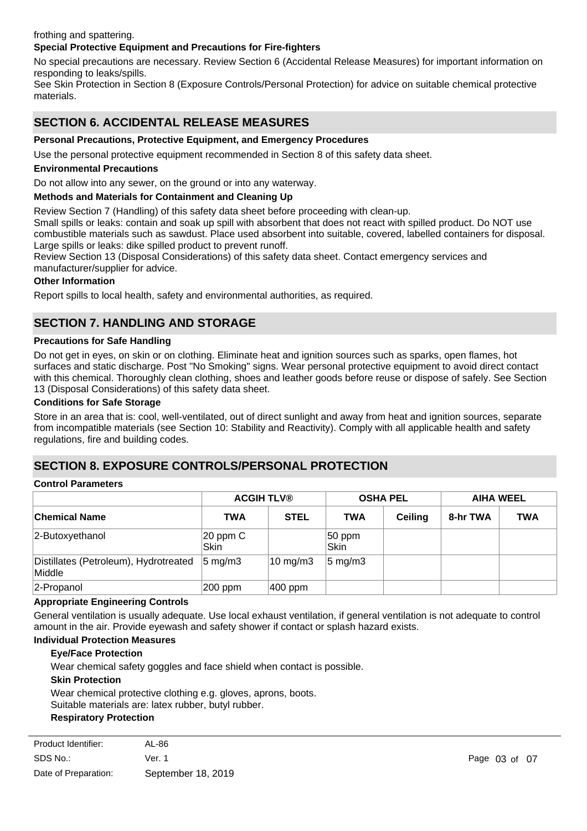# frothing and spattering.

# **Special Protective Equipment and Precautions for Fire-fighters**

No special precautions are necessary. Review Section 6 (Accidental Release Measures) for important information on responding to leaks/spills.

See Skin Protection in Section 8 (Exposure Controls/Personal Protection) for advice on suitable chemical protective materials.

# **SECTION 6. ACCIDENTAL RELEASE MEASURES**

# **Personal Precautions, Protective Equipment, and Emergency Procedures**

Use the personal protective equipment recommended in Section 8 of this safety data sheet.

# **Environmental Precautions**

Do not allow into any sewer, on the ground or into any waterway.

# **Methods and Materials for Containment and Cleaning Up**

Review Section 7 (Handling) of this safety data sheet before proceeding with clean-up.

Small spills or leaks: contain and soak up spill with absorbent that does not react with spilled product. Do NOT use combustible materials such as sawdust. Place used absorbent into suitable, covered, labelled containers for disposal. Large spills or leaks: dike spilled product to prevent runoff.

Review Section 13 (Disposal Considerations) of this safety data sheet. Contact emergency services and manufacturer/supplier for advice.

#### **Other Information**

Report spills to local health, safety and environmental authorities, as required.

# **SECTION 7. HANDLING AND STORAGE**

#### **Precautions for Safe Handling**

Do not get in eyes, on skin or on clothing. Eliminate heat and ignition sources such as sparks, open flames, hot surfaces and static discharge. Post "No Smoking" signs. Wear personal protective equipment to avoid direct contact with this chemical. Thoroughly clean clothing, shoes and leather goods before reuse or dispose of safely. See Section 13 (Disposal Considerations) of this safety data sheet.

# **Conditions for Safe Storage**

Store in an area that is: cool, well-ventilated, out of direct sunlight and away from heat and ignition sources, separate from incompatible materials (see Section 10: Stability and Reactivity). Comply with all applicable health and safety regulations, fire and building codes.

# **SECTION 8. EXPOSURE CONTROLS/PERSONAL PROTECTION**

# **Control Parameters**

|                                                 | <b>ACGIH TLV®</b>     |                     | <b>OSHA PEL</b>    |         | <b>AIHA WEEL</b> |            |
|-------------------------------------------------|-----------------------|---------------------|--------------------|---------|------------------|------------|
| <b>Chemical Name</b>                            | <b>TWA</b>            | <b>STEL</b>         | <b>TWA</b>         | Ceiling | 8-hr TWA         | <b>TWA</b> |
| 2-Butoxyethanol                                 | $ 20$ ppm $C$<br>Skin |                     | $ 50$ ppm<br> Skin |         |                  |            |
| Distillates (Petroleum), Hydrotreated<br>Middle | $ 5 \text{ mg/m}$ 3   | $10 \text{ mg/m}$ 3 | $5 \text{ mg/m}$ 3 |         |                  |            |
| 2-Propanol                                      | 200 ppm               | 400 ppm             |                    |         |                  |            |

#### **Appropriate Engineering Controls**

General ventilation is usually adequate. Use local exhaust ventilation, if general ventilation is not adequate to control amount in the air. Provide eyewash and safety shower if contact or splash hazard exists.

# **Individual Protection Measures**

# **Eye/Face Protection**

Wear chemical safety goggles and face shield when contact is possible.

#### **Skin Protection**

Wear chemical protective clothing e.g. gloves, aprons, boots. Suitable materials are: latex rubber, butyl rubber.

Not normally required if product is used as directed.

# **Respiratory Protection**

| Product Identifier:  | AL-86              |
|----------------------|--------------------|
| SDS No.:             | Ver. 1             |
| Date of Preparation: | September 18, 2019 |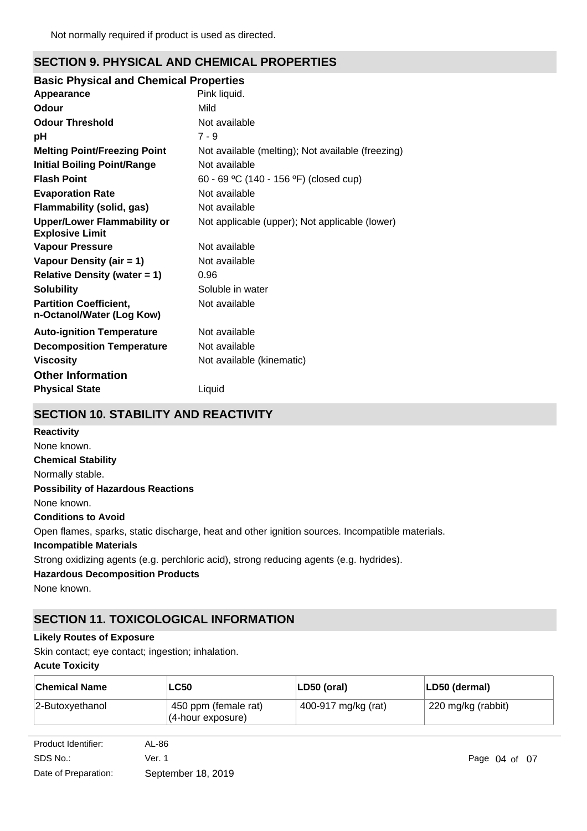# **SECTION 9. PHYSICAL AND CHEMICAL PROPERTIES**

# **Basic Physical and Chemical Properties**

| Appearance                                                   | Pink liquid.                                      |
|--------------------------------------------------------------|---------------------------------------------------|
| Odour                                                        | Mild                                              |
| <b>Odour Threshold</b>                                       | Not available                                     |
| рH                                                           | $7 - 9$                                           |
| <b>Melting Point/Freezing Point</b>                          | Not available (melting); Not available (freezing) |
| <b>Initial Boiling Point/Range</b>                           | Not available                                     |
| <b>Flash Point</b>                                           | 60 - 69 °C (140 - 156 °F) (closed cup)            |
| <b>Evaporation Rate</b>                                      | Not available                                     |
| Flammability (solid, gas)                                    | Not available                                     |
| <b>Upper/Lower Flammability or</b><br><b>Explosive Limit</b> | Not applicable (upper); Not applicable (lower)    |
| <b>Vapour Pressure</b>                                       | Not available                                     |
| Vapour Density (air = 1)                                     | Not available                                     |
| <b>Relative Density (water = 1)</b>                          | 0.96                                              |
| <b>Solubility</b>                                            | Soluble in water                                  |
| <b>Partition Coefficient,</b><br>n-Octanol/Water (Log Kow)   | Not available                                     |
| <b>Auto-ignition Temperature</b>                             | Not available                                     |
| <b>Decomposition Temperature</b>                             | Not available                                     |
| <b>Viscosity</b>                                             | Not available (kinematic)                         |
| <b>Other Information</b>                                     |                                                   |
| <b>Physical State</b>                                        | Liquid                                            |

# **SECTION 10. STABILITY AND REACTIVITY**

**Chemical Stability** Normally stable. **Conditions to Avoid** Open flames, sparks, static discharge, heat and other ignition sources. Incompatible materials. **Incompatible Materials** Strong oxidizing agents (e.g. perchloric acid), strong reducing agents (e.g. hydrides). **Hazardous Decomposition Products** None known. **Possibility of Hazardous Reactions** None known. **Reactivity** None known.

# **SECTION 11. TOXICOLOGICAL INFORMATION**

# **Likely Routes of Exposure**

Skin contact; eye contact; ingestion; inhalation.

# **Acute Toxicity**

| <b>Chemical Name</b> | .∟C50                                        | LD50 (oral)         | LD50 (dermal)      |
|----------------------|----------------------------------------------|---------------------|--------------------|
| $ 2$ -Butoxyethanol  | 450 ppm (female rat)<br>$(4$ -hour exposure) | 400-917 mg/kg (rat) | 220 mg/kg (rabbit) |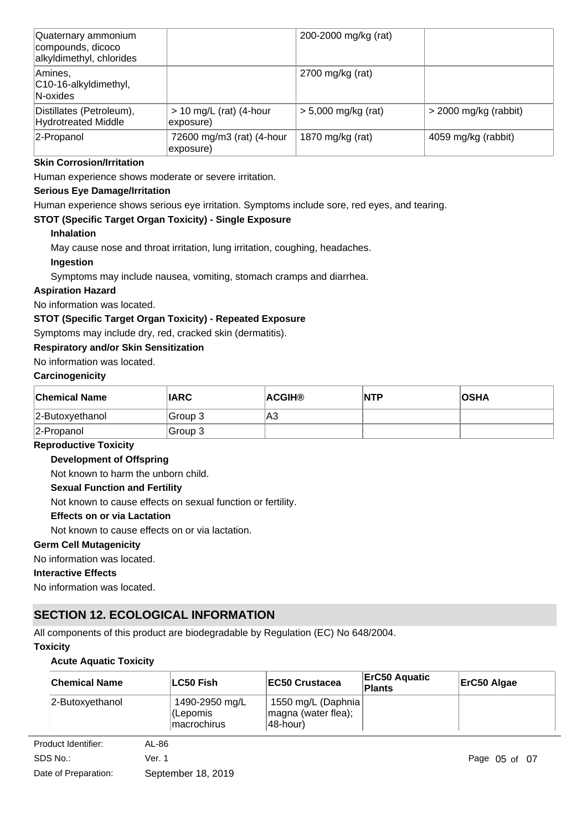| Quaternary ammonium<br>compounds, dicoco<br>alkyldimethyl, chlorides |                                        | 200-2000 mg/kg (rat)  |                         |
|----------------------------------------------------------------------|----------------------------------------|-----------------------|-------------------------|
| Amines,<br>C10-16-alkyldimethyl,<br>N-oxides                         |                                        | $2700$ mg/kg (rat)    |                         |
| Distillates (Petroleum),<br>Hydrotreated Middle                      | $> 10$ mg/L (rat) (4-hour<br>exposure) | $> 5,000$ mg/kg (rat) | $>$ 2000 mg/kg (rabbit) |
| 2-Propanol                                                           | 72600 mg/m3 (rat) (4-hour<br>exposure) | 1870 mg/kg (rat)      | 4059 mg/kg (rabbit)     |

# **Skin Corrosion/Irritation**

Human experience shows moderate or severe irritation.

# **Serious Eye Damage/Irritation**

Human experience shows serious eye irritation. Symptoms include sore, red eyes, and tearing.

# **STOT (Specific Target Organ Toxicity) - Single Exposure**

# **Inhalation**

May cause nose and throat irritation, lung irritation, coughing, headaches.

# **Ingestion**

Symptoms may include nausea, vomiting, stomach cramps and diarrhea.

# **Aspiration Hazard**

No information was located.

# **STOT (Specific Target Organ Toxicity) - Repeated Exposure**

Symptoms may include dry, red, cracked skin (dermatitis).

# **Respiratory and/or Skin Sensitization**

# No information was located.

# **Carcinogenicity**

| <b>Chemical Name</b> | <b>IARC</b> | <b>ACGIH®</b> | <b>NTP</b> | <b>OSHA</b> |
|----------------------|-------------|---------------|------------|-------------|
| 2-Butoxyethanol      | Group 3     | A3            |            |             |
| 2-Propanol           | Group 3     |               |            |             |

#### **Reproductive Toxicity**

#### **Development of Offspring**

Not known to harm the unborn child.

# **Sexual Function and Fertility**

Not known to cause effects on sexual function or fertility.

# **Effects on or via Lactation**

Not known to cause effects on or via lactation.

#### **Germ Cell Mutagenicity**

No information was located.

# **Interactive Effects**

No information was located.

# **SECTION 12. ECOLOGICAL INFORMATION**

All components of this product are biodegradable by Regulation (EC) No 648/2004.

# **Toxicity**

# **Acute Aquatic Toxicity**

| <b>Chemical Name</b> | ∣LC50 Fish                                        | <b>EC50 Crustacea</b>                                      | ErC50 Aquatic<br><b>Plants</b> | ErC50 Algae |
|----------------------|---------------------------------------------------|------------------------------------------------------------|--------------------------------|-------------|
| 2-Butoxyethanol      | 1490-2950 mg/L<br>(Lepomis<br><i>Imacrochirus</i> | 1550 mg/L (Daphnia)<br>magna (water flea);<br>$ 48$ -hour) |                                |             |

| Product Identifier:  | AL-86              |
|----------------------|--------------------|
| SDS No.:             | Ver. 1             |
| Date of Preparation: | September 18, 2019 |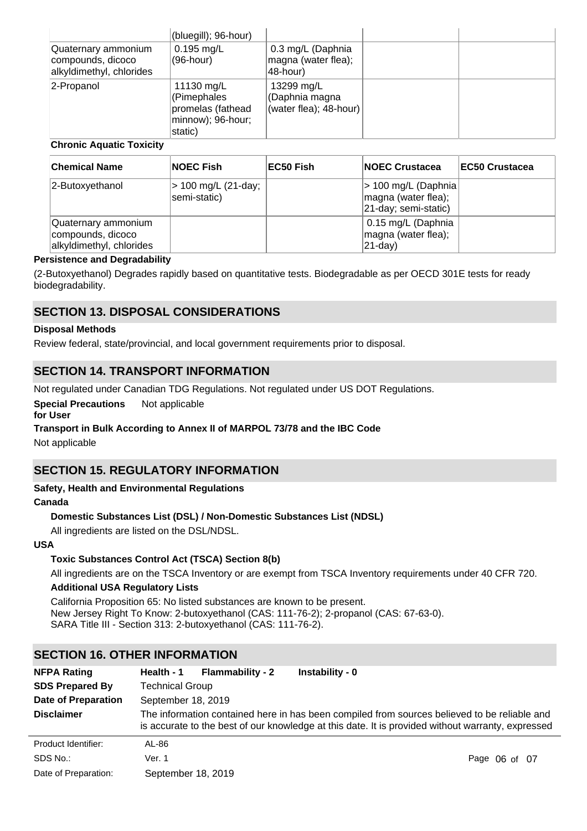| Quaternary ammonium<br>compounds, dicoco | (bluegill); 96-hour)<br>$0.195$ mg/L<br>(96-hour)                              | 0.3 mg/L (Daphnia<br>magna (water flea);               |  |
|------------------------------------------|--------------------------------------------------------------------------------|--------------------------------------------------------|--|
| alkyldimethyl, chlorides                 |                                                                                | 48-hour)                                               |  |
| 2-Propanol                               | 11130 mg/L<br>(Pimephales<br>promelas (fathead<br>minnow); 96-hour;<br>static) | 13299 mg/L<br>(Daphnia magna<br>(water flea); 48-hour) |  |

# **Chronic Aquatic Toxicity**

| <b>Chemical Name</b>                                                 | <b>NOEC Fish</b>                    | ∣EC50 Fish | <b>INOEC Crustacea</b>                                              | <b>IEC50 Crustacea</b> |
|----------------------------------------------------------------------|-------------------------------------|------------|---------------------------------------------------------------------|------------------------|
| 2-Butoxyethanol                                                      | > 100 mg/L (21-day;<br>semi-static) |            | > 100 mg/L (Daphnia)<br>magna (water flea);<br>21-day; semi-static) |                        |
| Quaternary ammonium<br>compounds, dicoco<br>alkyldimethyl, chlorides |                                     |            | 0.15 mg/L (Daphnia<br>magna (water flea);<br>21-day)                |                        |

# **Persistence and Degradability**

(2-Butoxyethanol) Degrades rapidly based on quantitative tests. Biodegradable as per OECD 301E tests for ready biodegradability.

# **SECTION 13. DISPOSAL CONSIDERATIONS**

# **Disposal Methods**

Review federal, state/provincial, and local government requirements prior to disposal.

# **SECTION 14. TRANSPORT INFORMATION**

Not regulated under Canadian TDG Regulations. Not regulated under US DOT Regulations.

#### **Special Precautions** Not applicable

**for User**

# **Transport in Bulk According to Annex II of MARPOL 73/78 and the IBC Code**

Not applicable

# **SECTION 15. REGULATORY INFORMATION**

# **Safety, Health and Environmental Regulations**

#### **Canada**

# **Domestic Substances List (DSL) / Non-Domestic Substances List (NDSL)**

All ingredients are listed on the DSL/NDSL.

#### **USA**

# **Toxic Substances Control Act (TSCA) Section 8(b)**

All ingredients are on the TSCA Inventory or are exempt from TSCA Inventory requirements under 40 CFR 720.

# **Additional USA Regulatory Lists**

California Proposition 65: No listed substances are known to be present. New Jersey Right To Know: 2-butoxyethanol (CAS: 111-76-2); 2-propanol (CAS: 67-63-0). SARA Title III - Section 313: 2-butoxyethanol (CAS: 111-76-2).

# **SECTION 16. OTHER INFORMATION**

| <b>NFPA Rating</b>         | <b>Flammability - 2</b><br>Instability - 0<br>Health - 1 |                                                                                                                                                                                                   |  |  |
|----------------------------|----------------------------------------------------------|---------------------------------------------------------------------------------------------------------------------------------------------------------------------------------------------------|--|--|
| <b>SDS Prepared By</b>     | <b>Technical Group</b>                                   |                                                                                                                                                                                                   |  |  |
| <b>Date of Preparation</b> | September 18, 2019                                       |                                                                                                                                                                                                   |  |  |
| <b>Disclaimer</b>          |                                                          | The information contained here in has been compiled from sources believed to be reliable and<br>is accurate to the best of our knowledge at this date. It is provided without warranty, expressed |  |  |
| Product Identifier:        | AL-86                                                    |                                                                                                                                                                                                   |  |  |
| SDS No.:                   | Ver. 1                                                   | Page 06 of 07                                                                                                                                                                                     |  |  |
| Date of Preparation:       | September 18, 2019                                       |                                                                                                                                                                                                   |  |  |